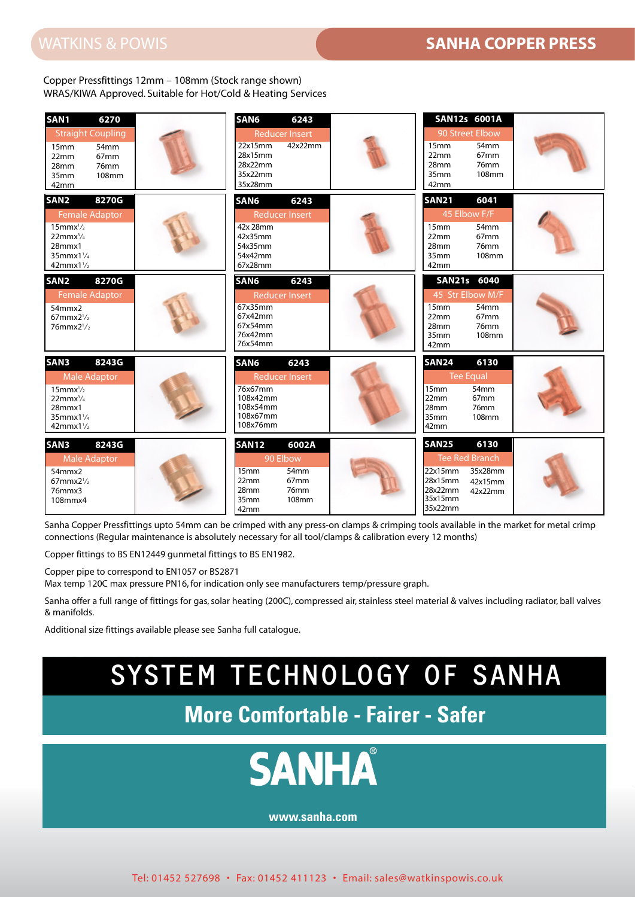Copper Pressfittings 12mm – 108mm (Stock range shown) WRAS/KIWA Approved. Suitable for Hot/Cold & Heating Services



Sanha Copper Pressfittings upto 54mm can be crimped with any press-on clamps & crimping tools available in the market for metal crimp connections (Regular maintenance is absolutely necessary for all tool/clamps & calibration every 12 months)

Copper fittings to BS EN12449 gunmetal fittings to BS EN1982.

Copper pipe to correspond to EN1057 or BS2871

Max temp 120C max pressure PN16, for indication only see manufacturers temp/pressure graph.

Sanha offer a full range of fittings for gas, solar heating (200C), compressed air, stainless steel material & valves including radiator, ball valves & manifolds.

Additional size fittings available please see Sanha full catalogue.

## SYSTEM TECHNOLOGY OF SANHA

**More Comfortable - Fairer - Safer**



**www.sanha.com**